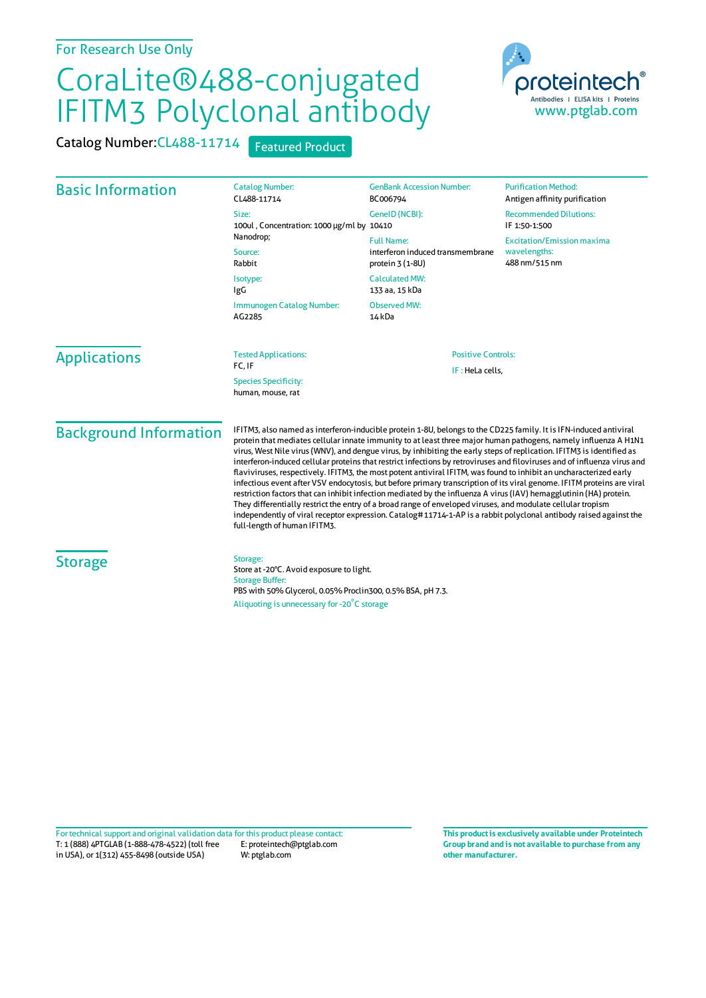## For Research Use Only

## CoraLite®488-conjugated IFITM3 Polyclonal antibody

Catalog Number: CL488-11714 Featured Product



| <b>Basic Information</b>      | <b>Catalog Number:</b><br>CL488-11714<br>Size:<br>100ul, Concentration: 1000 µg/ml by 10410<br>Nanodrop;<br>Source:<br>Rabbit                                                                                                                                                                                                                                                                                                                                                                                                                                                                                                                                                                                                                                                                                                                                                                                                                                                                                                                                                                                                       | <b>GenBank Accession Number:</b><br>BC006794<br>GeneID (NCBI):<br><b>Full Name:</b><br>interferon induced transmembrane<br>protein $3(1-8U)$ | <b>Purification Method:</b><br>Antigen affinity purification<br><b>Recommended Dilutions:</b><br>IF 1:50-1:500<br><b>Excitation/Emission maxima</b><br>wavelengths:<br>488 nm/515 nm |
|-------------------------------|-------------------------------------------------------------------------------------------------------------------------------------------------------------------------------------------------------------------------------------------------------------------------------------------------------------------------------------------------------------------------------------------------------------------------------------------------------------------------------------------------------------------------------------------------------------------------------------------------------------------------------------------------------------------------------------------------------------------------------------------------------------------------------------------------------------------------------------------------------------------------------------------------------------------------------------------------------------------------------------------------------------------------------------------------------------------------------------------------------------------------------------|----------------------------------------------------------------------------------------------------------------------------------------------|--------------------------------------------------------------------------------------------------------------------------------------------------------------------------------------|
|                               | Isotype:<br>IgG<br>Immunogen Catalog Number:<br>AG2285                                                                                                                                                                                                                                                                                                                                                                                                                                                                                                                                                                                                                                                                                                                                                                                                                                                                                                                                                                                                                                                                              | <b>Calculated MW:</b><br>133 aa, 15 kDa<br><b>Observed MW:</b><br>14 kDa                                                                     |                                                                                                                                                                                      |
| <b>Applications</b>           | <b>Tested Applications:</b><br>FC, IF<br><b>Species Specificity:</b><br>human, mouse, rat                                                                                                                                                                                                                                                                                                                                                                                                                                                                                                                                                                                                                                                                                                                                                                                                                                                                                                                                                                                                                                           | <b>Positive Controls:</b><br>IF : HeLa cells,                                                                                                |                                                                                                                                                                                      |
| <b>Background Information</b> | IFITM3, also named as interferon-inducible protein 1-8U, belongs to the CD225 family. It is IFN-induced antiviral<br>protein that mediates cellular innate immunity to at least three major human pathogens, namely influenza A H1N1<br>virus, West Nile virus (WNV), and dengue virus, by inhibiting the early steps of replication. IFITM3 is identified as<br>interferon-induced cellular proteins that restrict infections by retroviruses and filoviruses and of influenza virus and<br>flaviviruses, respectively. IFITM3, the most potent antiviral IFITM, was found to inhibit an uncharacterized early<br>infectious event after VSV endocytosis, but before primary transcription of its viral genome. IFITM proteins are viral<br>restriction factors that can inhibit infection mediated by the influenza A virus (IAV) hemagglutinin (HA) protein.<br>They differentially restrict the entry of a broad range of enveloped viruses, and modulate cellular tropism<br>independently of viral receptor expression. Catalog#11714-1-AP is a rabbit polyclonal antibody raised against the<br>full-length of human IFITM3. |                                                                                                                                              |                                                                                                                                                                                      |
| <b>Storage</b>                | Storage:<br>Store at -20°C. Avoid exposure to light.<br><b>Storage Buffer:</b><br>PBS with 50% Glycerol, 0.05% Proclin300, 0.5% BSA, pH 7.3.<br>Aliquoting is unnecessary for -20°C storage                                                                                                                                                                                                                                                                                                                                                                                                                                                                                                                                                                                                                                                                                                                                                                                                                                                                                                                                         |                                                                                                                                              |                                                                                                                                                                                      |

T: 1 (888) 4PTGLAB (1-888-478-4522) (toll free in USA), or 1(312) 455-8498 (outside USA) E: proteintech@ptglab.com W: ptglab.com Fortechnical support and original validation data forthis product please contact: **This productis exclusively available under Proteintech**

**Group brand and is not available to purchase from any other manufacturer.**